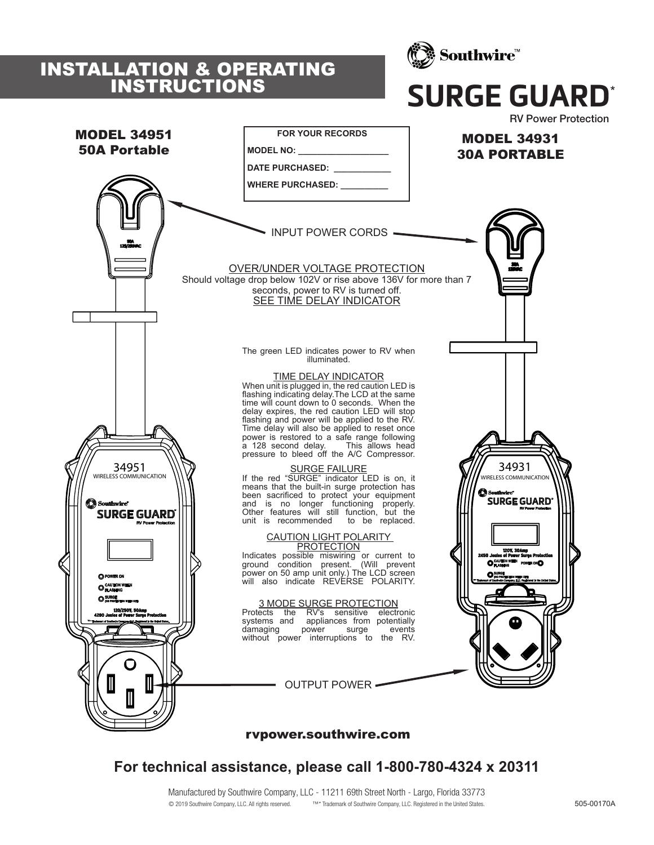## INSTALLATION & OPERATING INSTRUCTIONS



# **SURGE GUARD**\*



### rvpower.southwire.com

**For technical assistance, please call 1-800-780-4324 x 20311**